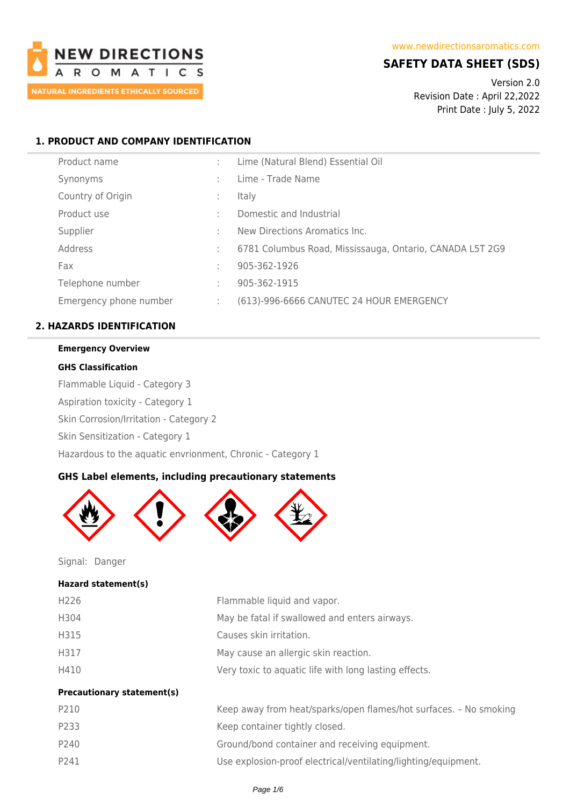

# **SAFETY DATA SHEET (SDS)**

Version 2.0 Revision Date : April 22,2022 Print Date : July 5, 2022

## **1. PRODUCT AND COMPANY IDENTIFICATION**

| Product name           |   | Lime (Natural Blend) Essential Oil                       |
|------------------------|---|----------------------------------------------------------|
| Synonyms               | ٠ | Lime - Trade Name                                        |
| Country of Origin      |   | <b>Italy</b>                                             |
| Product use            | ٠ | Domestic and Industrial                                  |
| Supplier               | ٠ | New Directions Aromatics Inc.                            |
| Address                | ÷ | 6781 Columbus Road, Mississauga, Ontario, CANADA L5T 2G9 |
| Fax                    | ÷ | 905-362-1926                                             |
| Telephone number       | ٠ | 905-362-1915                                             |
| Emergency phone number | ÷ | (613)-996-6666 CANUTEC 24 HOUR EMERGENCY                 |

#### **2. HAZARDS IDENTIFICATION**

#### **Emergency Overview**

#### **GHS Classification**

Flammable Liquid - Category 3 Aspiration toxicity - Category 1 Skin Corrosion/Irritation - Category 2 Skin Sensitization - Category 1 Hazardous to the aquatic envrionment, Chronic - Category 1

## **GHS Label elements, including precautionary statements**



Signal: Danger

#### **Hazard statement(s)**

| H <sub>226</sub>                  | Flammable liquid and vapor.                                       |
|-----------------------------------|-------------------------------------------------------------------|
| H304                              | May be fatal if swallowed and enters airways.                     |
| H315                              | Causes skin irritation.                                           |
| H317                              | May cause an allergic skin reaction.                              |
| H410                              | Very toxic to aquatic life with long lasting effects.             |
| <b>Precautionary statement(s)</b> |                                                                   |
| P210                              | Keep away from heat/sparks/open flames/hot surfaces. - No smoking |
| P233                              | Keep container tightly closed.                                    |
| P240                              | Ground/bond container and receiving equipment.                    |

P241 Use explosion-proof electrical/ventilating/lighting/equipment.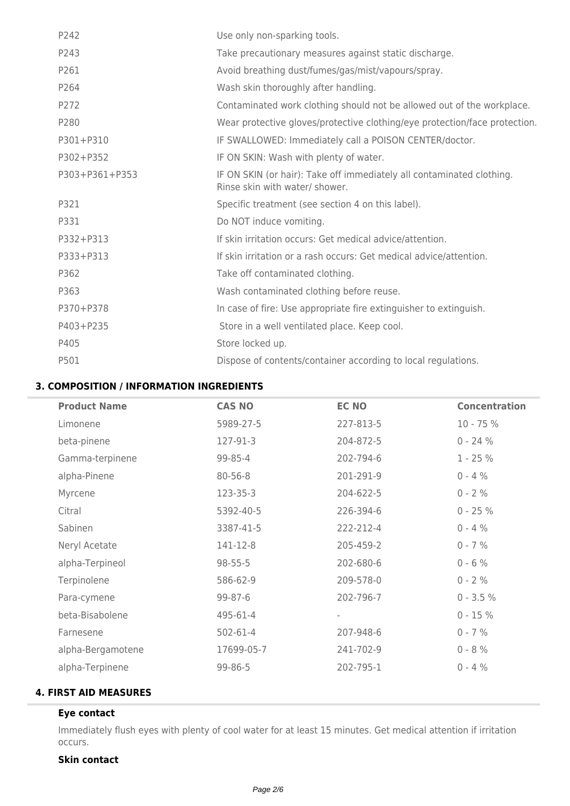| P242             | Use only non-sparking tools.                                                                            |
|------------------|---------------------------------------------------------------------------------------------------------|
| P243             | Take precautionary measures against static discharge.                                                   |
| P261             | Avoid breathing dust/fumes/gas/mist/vapours/spray.                                                      |
| P <sub>264</sub> | Wash skin thoroughly after handling.                                                                    |
| P272             | Contaminated work clothing should not be allowed out of the workplace.                                  |
| P280             | Wear protective gloves/protective clothing/eye protection/face protection.                              |
| P301+P310        | IF SWALLOWED: Immediately call a POISON CENTER/doctor.                                                  |
| P302+P352        | IF ON SKIN: Wash with plenty of water.                                                                  |
| P303+P361+P353   | IF ON SKIN (or hair): Take off immediately all contaminated clothing.<br>Rinse skin with water/ shower. |
| P321             | Specific treatment (see section 4 on this label).                                                       |
| P331             | Do NOT induce vomiting.                                                                                 |
| P332+P313        | If skin irritation occurs: Get medical advice/attention.                                                |
| P333+P313        | If skin irritation or a rash occurs: Get medical advice/attention.                                      |
| P362             |                                                                                                         |
|                  | Take off contaminated clothing.                                                                         |
| P363             | Wash contaminated clothing before reuse.                                                                |
| P370+P378        | In case of fire: Use appropriate fire extinguisher to extinguish.                                       |
| P403+P235        | Store in a well ventilated place. Keep cool.                                                            |
| P405             | Store locked up.                                                                                        |

## **3. COMPOSITION / INFORMATION INGREDIENTS**

| <b>Product Name</b> | <b>CAS NO</b> | <b>EC NO</b>             | <b>Concentration</b> |
|---------------------|---------------|--------------------------|----------------------|
| Limonene            | 5989-27-5     | 227-813-5                | $10 - 75%$           |
| beta-pinene         | 127-91-3      | 204-872-5                | $0 - 24%$            |
| Gamma-terpinene     | 99-85-4       | 202-794-6                | $1 - 25%$            |
| alpha-Pinene        | 80-56-8       | 201-291-9                | $0 - 4 %$            |
| Myrcene             | 123-35-3      | 204-622-5                | $0 - 2 %$            |
| Citral              | 5392-40-5     | 226-394-6                | $0 - 25 %$           |
| Sabinen             | 3387-41-5     | 222-212-4                | $0 - 4 %$            |
| Neryl Acetate       | 141-12-8      | 205-459-2                | $0 - 7 %$            |
| alpha-Terpineol     | $98 - 55 - 5$ | 202-680-6                | $0 - 6 %$            |
| Terpinolene         | 586-62-9      | 209-578-0                | $0 - 2 %$            |
| Para-cymene         | 99-87-6       | 202-796-7                | $0 - 3.5 %$          |
| beta-Bisabolene     | 495-61-4      | $\overline{\phantom{a}}$ | $0 - 15 %$           |
| Farnesene           | 502-61-4      | 207-948-6                | $0 - 7 %$            |
| alpha-Bergamotene   | 17699-05-7    | 241-702-9                | $0 - 8 %$            |
| alpha-Terpinene     | 99-86-5       | 202-795-1                | $0 - 4 %$            |
|                     |               |                          |                      |

## **4. FIRST AID MEASURES**

## **Eye contact**

Immediately flush eyes with plenty of cool water for at least 15 minutes. Get medical attention if irritation occurs.

## **Skin contact**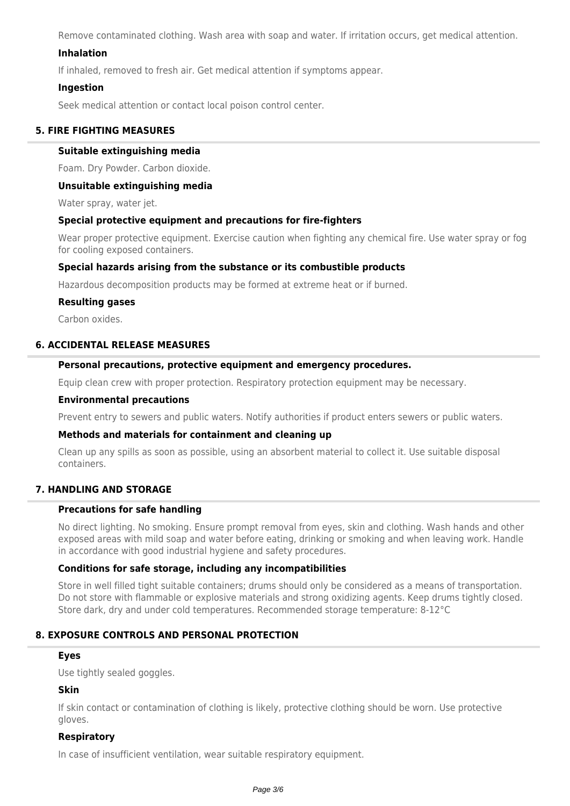Remove contaminated clothing. Wash area with soap and water. If irritation occurs, get medical attention.

## **Inhalation**

If inhaled, removed to fresh air. Get medical attention if symptoms appear.

#### **Ingestion**

Seek medical attention or contact local poison control center.

## **5. FIRE FIGHTING MEASURES**

#### **Suitable extinguishing media**

Foam. Dry Powder. Carbon dioxide.

#### **Unsuitable extinguishing media**

Water spray, water jet.

#### **Special protective equipment and precautions for fire-fighters**

Wear proper protective equipment. Exercise caution when fighting any chemical fire. Use water spray or fog for cooling exposed containers.

## **Special hazards arising from the substance or its combustible products**

Hazardous decomposition products may be formed at extreme heat or if burned.

#### **Resulting gases**

Carbon oxides.

#### **6. ACCIDENTAL RELEASE MEASURES**

#### **Personal precautions, protective equipment and emergency procedures.**

Equip clean crew with proper protection. Respiratory protection equipment may be necessary.

#### **Environmental precautions**

Prevent entry to sewers and public waters. Notify authorities if product enters sewers or public waters.

#### **Methods and materials for containment and cleaning up**

Clean up any spills as soon as possible, using an absorbent material to collect it. Use suitable disposal containers.

## **7. HANDLING AND STORAGE**

## **Precautions for safe handling**

No direct lighting. No smoking. Ensure prompt removal from eyes, skin and clothing. Wash hands and other exposed areas with mild soap and water before eating, drinking or smoking and when leaving work. Handle in accordance with good industrial hygiene and safety procedures.

#### **Conditions for safe storage, including any incompatibilities**

Store in well filled tight suitable containers; drums should only be considered as a means of transportation. Do not store with flammable or explosive materials and strong oxidizing agents. Keep drums tightly closed. Store dark, dry and under cold temperatures. Recommended storage temperature: 8-12°C

## **8. EXPOSURE CONTROLS AND PERSONAL PROTECTION**

#### **Eyes**

Use tightly sealed goggles.

#### **Skin**

If skin contact or contamination of clothing is likely, protective clothing should be worn. Use protective gloves.

#### **Respiratory**

In case of insufficient ventilation, wear suitable respiratory equipment.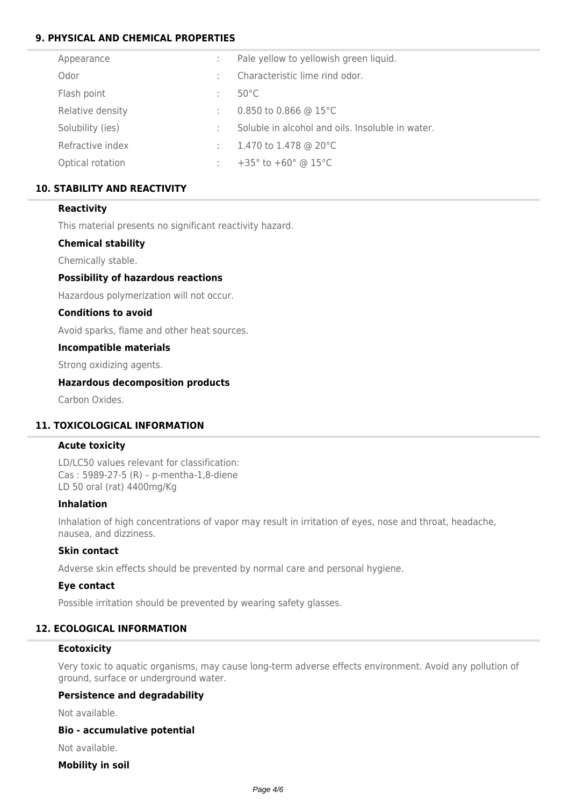## **9. PHYSICAL AND CHEMICAL PROPERTIES**

| Appearance       |   | Pale yellow to yellowish green liquid.             |
|------------------|---|----------------------------------------------------|
| Odor             | ÷ | Characteristic lime rind odor.                     |
| Flash point      | ÷ | $50^{\circ}$ C                                     |
| Relative density | ÷ | 0.850 to 0.866 @ 15 $^{\circ}$ C                   |
| Solubility (ies) | ÷ | Soluble in alcohol and oils. Insoluble in water.   |
| Refractive index | ÷ | 1.470 to 1.478 @ 20°C                              |
| Optical rotation | ÷ | +35 $^{\circ}$ to +60 $^{\circ}$ @ 15 $^{\circ}$ C |

## **10. STABILITY AND REACTIVITY**

## **Reactivity**

This material presents no significant reactivity hazard.

## **Chemical stability**

Chemically stable.

## **Possibility of hazardous reactions**

Hazardous polymerization will not occur.

## **Conditions to avoid**

Avoid sparks, flame and other heat sources.

#### **Incompatible materials**

Strong oxidizing agents.

#### **Hazardous decomposition products**

Carbon Oxides.

## **11. TOXICOLOGICAL INFORMATION**

#### **Acute toxicity**

LD/LC50 values relevant for classification: Cas : 5989-27-5 (R) – p-mentha-1,8-diene LD 50 oral (rat) 4400mg/Kg

#### **Inhalation**

Inhalation of high concentrations of vapor may result in irritation of eyes, nose and throat, headache, nausea, and dizziness.

#### **Skin contact**

Adverse skin effects should be prevented by normal care and personal hygiene.

#### **Eye contact**

Possible irritation should be prevented by wearing safety glasses.

#### **12. ECOLOGICAL INFORMATION**

#### **Ecotoxicity**

Very toxic to aquatic organisms, may cause long-term adverse effects environment. Avoid any pollution of ground, surface or underground water.

## **Persistence and degradability**

Not available.

#### **Bio - accumulative potential**

Not available.

#### **Mobility in soil**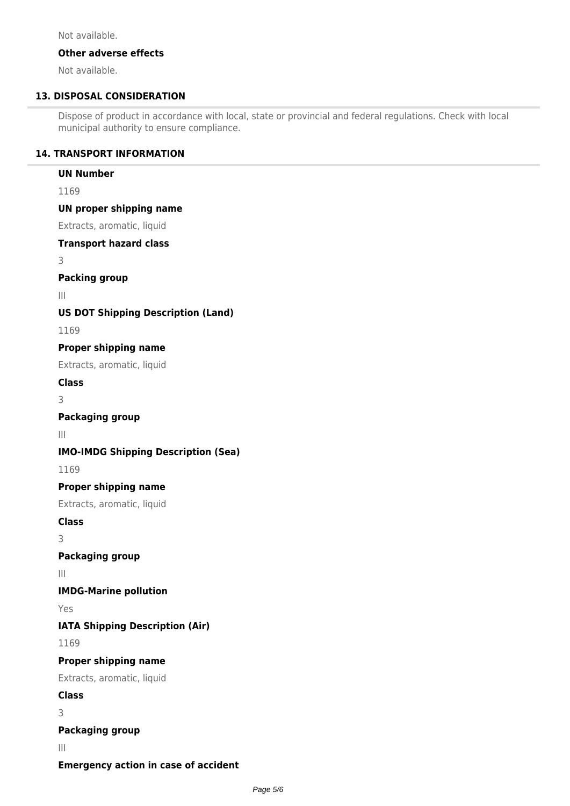Not available.

## **Other adverse effects**

Not available.

## **13. DISPOSAL CONSIDERATION**

Dispose of product in accordance with local, state or provincial and federal regulations. Check with local municipal authority to ensure compliance.

## **14. TRANSPORT INFORMATION**

## **UN Number**

1169

**UN proper shipping name**

Extracts, aromatic, liquid

**Transport hazard class**

3

**Packing group**

III

## **US DOT Shipping Description (Land)**

1169

## **Proper shipping name**

Extracts, aromatic, liquid

**Class**

3

## **Packaging group**

III

## **IMO-IMDG Shipping Description (Sea)**

1169

## **Proper shipping name**

Extracts, aromatic, liquid

**Class**

3

## **Packaging group**

III

# **IMDG-Marine pollution**

Yes

# **IATA Shipping Description (Air)**

1169

# **Proper shipping name**

Extracts, aromatic, liquid

**Class**

3

# **Packaging group**

III

**Emergency action in case of accident**